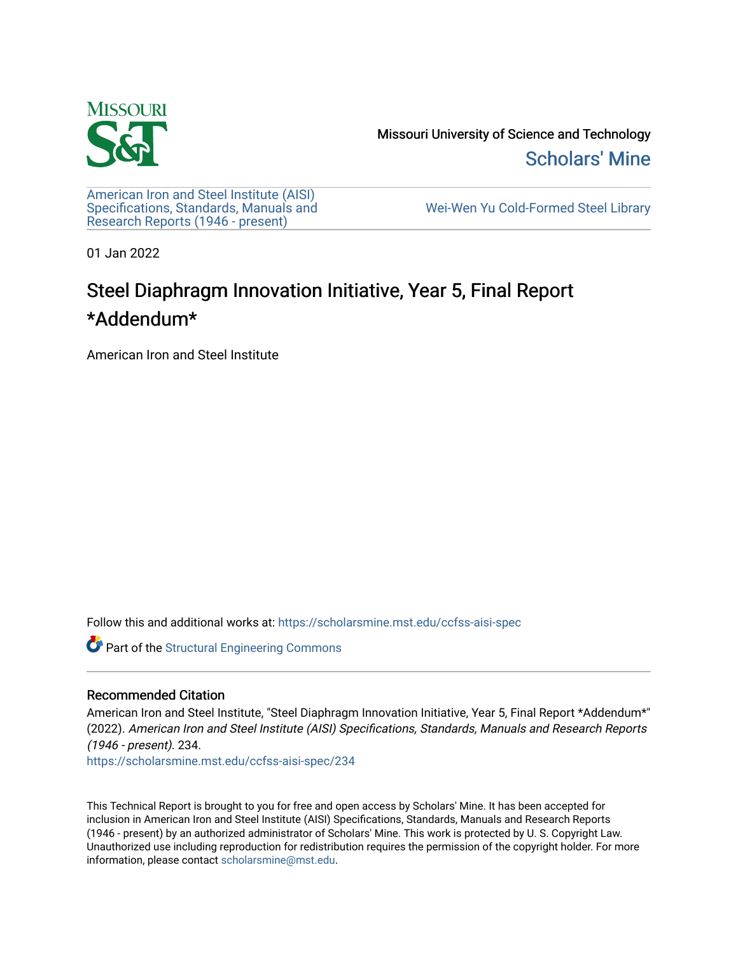

Missouri University of Science and Technology [Scholars' Mine](https://scholarsmine.mst.edu/) 

[American Iron and Steel Institute \(AISI\)](https://scholarsmine.mst.edu/ccfss-aisi-spec) [Specifications, Standards, Manuals and](https://scholarsmine.mst.edu/ccfss-aisi-spec)  [Research Reports \(1946 - present\)](https://scholarsmine.mst.edu/ccfss-aisi-spec) 

[Wei-Wen Yu Cold-Formed Steel Library](https://scholarsmine.mst.edu/ccfss) 

01 Jan 2022

## Steel Diaphragm Innovation Initiative, Year 5, Final Report \*Addendum\*

American Iron and Steel Institute

Follow this and additional works at: [https://scholarsmine.mst.edu/ccfss-aisi-spec](https://scholarsmine.mst.edu/ccfss-aisi-spec?utm_source=scholarsmine.mst.edu%2Fccfss-aisi-spec%2F234&utm_medium=PDF&utm_campaign=PDFCoverPages) 

**Part of the Structural Engineering Commons** 

### Recommended Citation

American Iron and Steel Institute, "Steel Diaphragm Innovation Initiative, Year 5, Final Report \*Addendum\*" (2022). American Iron and Steel Institute (AISI) Specifications, Standards, Manuals and Research Reports (1946 - present). 234.

[https://scholarsmine.mst.edu/ccfss-aisi-spec/234](https://scholarsmine.mst.edu/ccfss-aisi-spec/234?utm_source=scholarsmine.mst.edu%2Fccfss-aisi-spec%2F234&utm_medium=PDF&utm_campaign=PDFCoverPages) 

This Technical Report is brought to you for free and open access by Scholars' Mine. It has been accepted for inclusion in American Iron and Steel Institute (AISI) Specifications, Standards, Manuals and Research Reports (1946 - present) by an authorized administrator of Scholars' Mine. This work is protected by U. S. Copyright Law. Unauthorized use including reproduction for redistribution requires the permission of the copyright holder. For more information, please contact [scholarsmine@mst.edu](mailto:scholarsmine@mst.edu).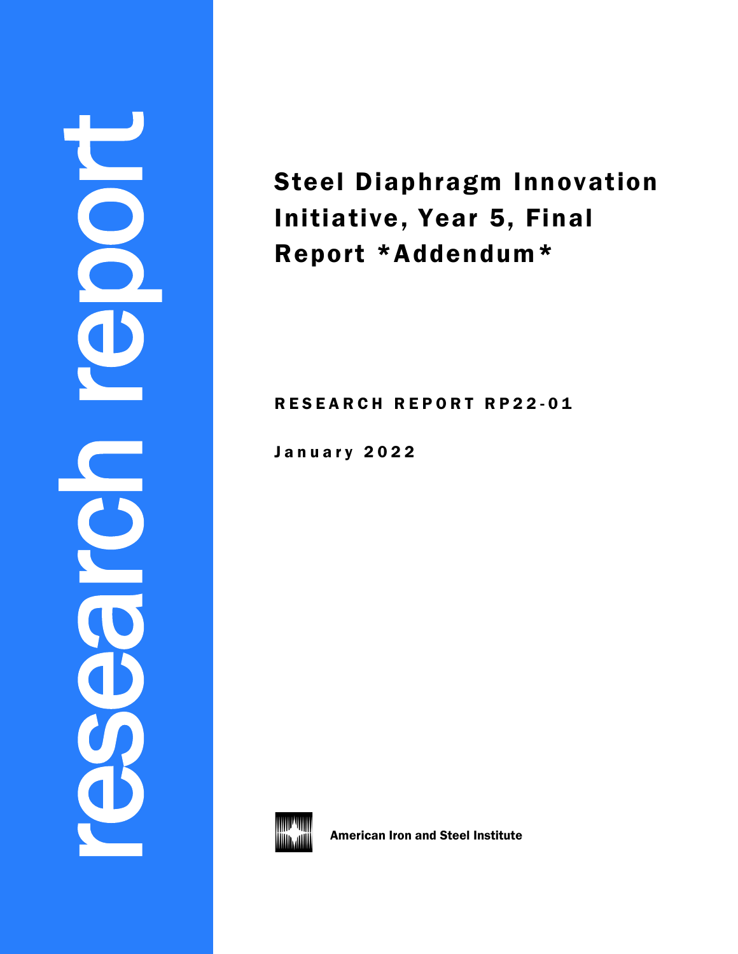# research report 8

Steel Diaphragm Innovation Initiative, Year 5, Final Report \*Addendum\*

RESEARCH REPORT RP22-01

January 2022



American Iron and Steel Institute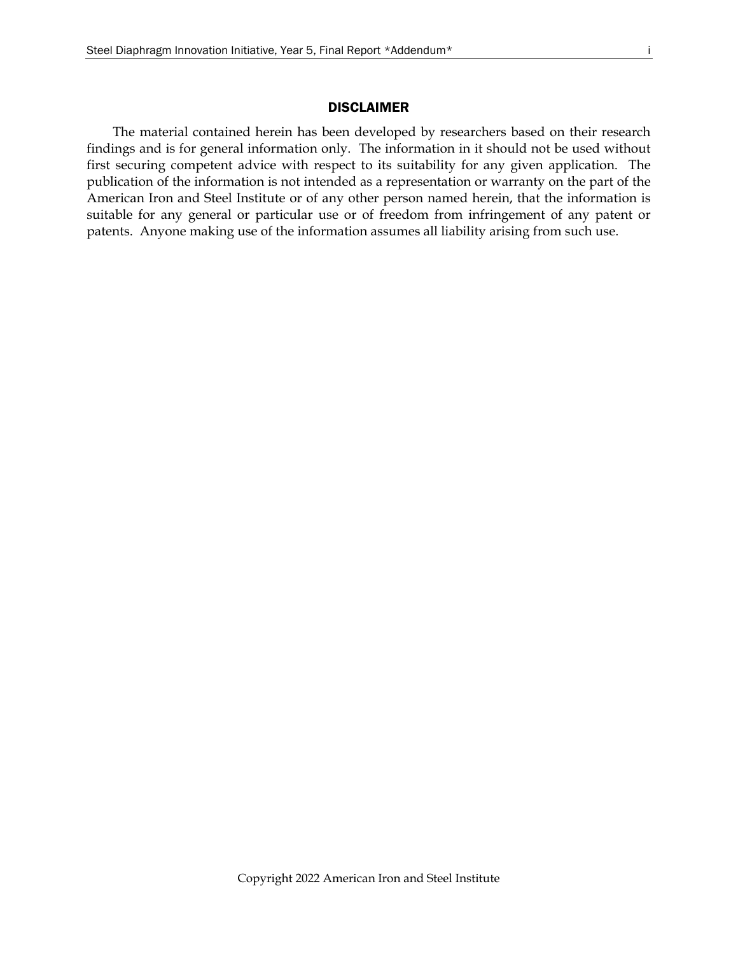### DISCLAIMER

The material contained herein has been developed by researchers based on their research findings and is for general information only. The information in it should not be used without first securing competent advice with respect to its suitability for any given application. The publication of the information is not intended as a representation or warranty on the part of the American Iron and Steel Institute or of any other person named herein, that the information is suitable for any general or particular use or of freedom from infringement of any patent or patents. Anyone making use of the information assumes all liability arising from such use.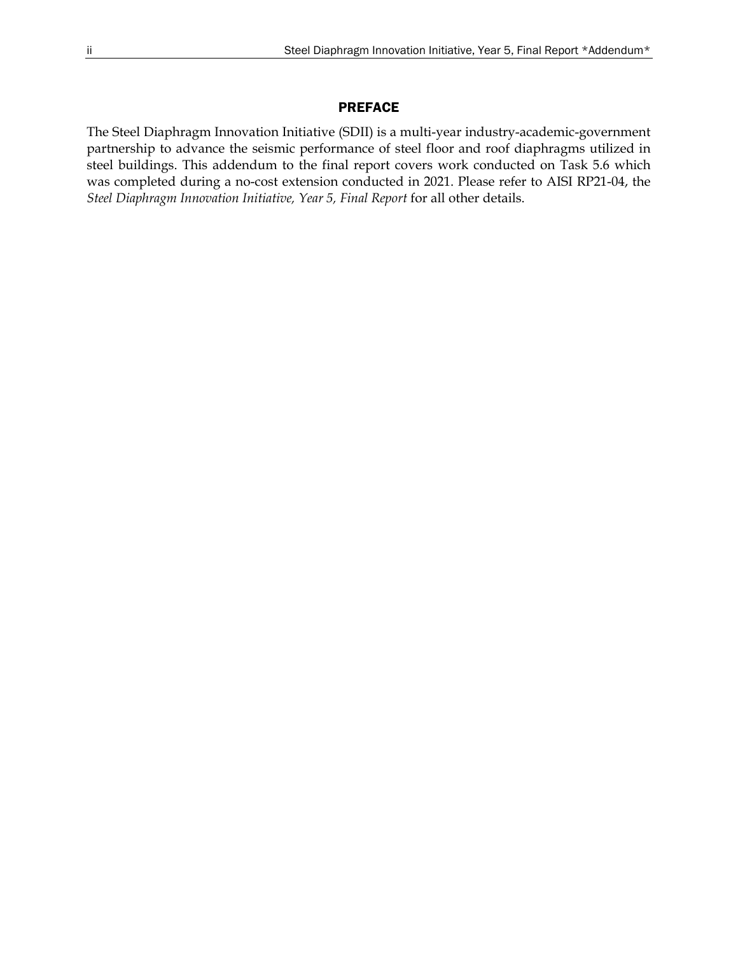### PREFACE

The Steel Diaphragm Innovation Initiative (SDII) is a multi-year industry-academic-government partnership to advance the seismic performance of steel floor and roof diaphragms utilized in steel buildings. This addendum to the final report covers work conducted on Task 5.6 which was completed during a no-cost extension conducted in 2021. Please refer to AISI RP21-04, the *Steel Diaphragm Innovation Initiative, Year 5, Final Report* for all other details.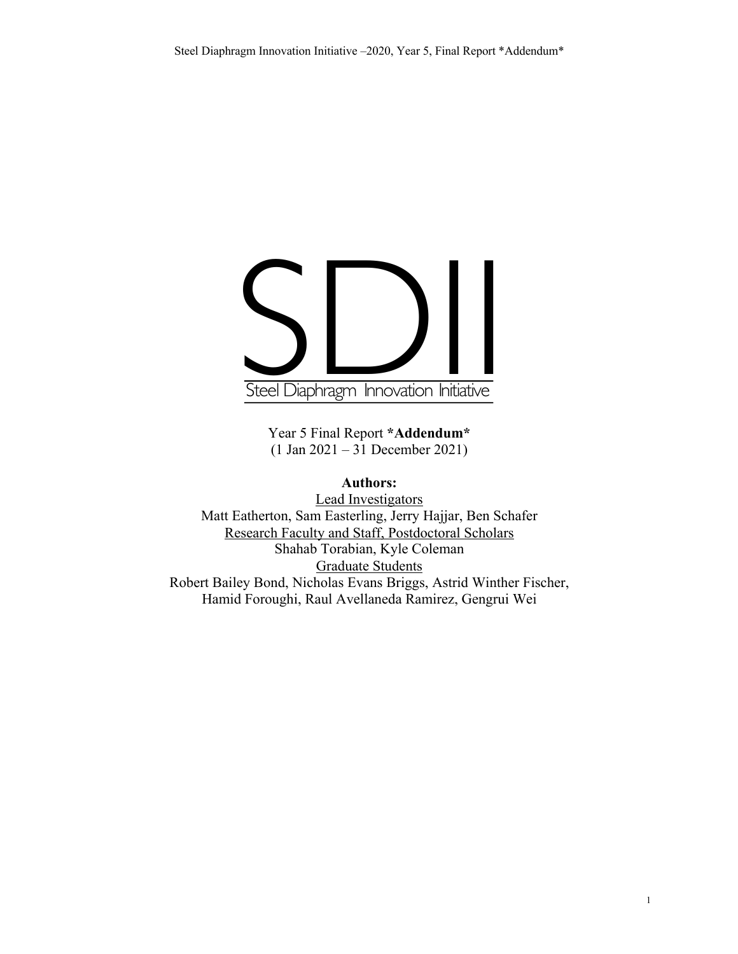## Steel Diaphragm Innovation Initiative

Year 5 Final Report **\*Addendum\*** (1 Jan 2021 – 31 December 2021)

### **Authors:**

Lead Investigators Matt Eatherton, Sam Easterling, Jerry Hajjar, Ben Schafer Research Faculty and Staff, Postdoctoral Scholars Shahab Torabian, Kyle Coleman Graduate Students Robert Bailey Bond, Nicholas Evans Briggs, Astrid Winther Fischer, Hamid Foroughi, Raul Avellaneda Ramirez, Gengrui Wei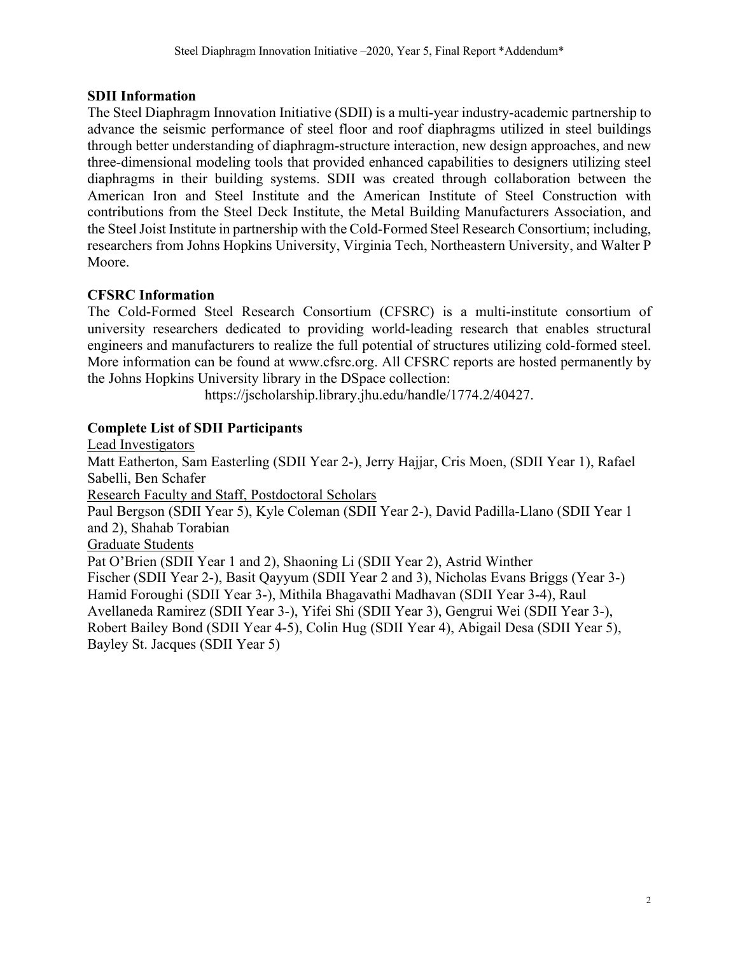### **SDII Information**

The Steel Diaphragm Innovation Initiative (SDII) is a multi-year industry-academic partnership to advance the seismic performance of steel floor and roof diaphragms utilized in steel buildings through better understanding of diaphragm-structure interaction, new design approaches, and new three-dimensional modeling tools that provided enhanced capabilities to designers utilizing steel diaphragms in their building systems. SDII was created through collaboration between the American Iron and Steel Institute and the American Institute of Steel Construction with contributions from the Steel Deck Institute, the Metal Building Manufacturers Association, and the Steel Joist Institute in partnership with the Cold-Formed Steel Research Consortium; including, researchers from Johns Hopkins University, Virginia Tech, Northeastern University, and Walter P Moore.

### **CFSRC Information**

The Cold-Formed Steel Research Consortium (CFSRC) is a multi-institute consortium of university researchers dedicated to providing world-leading research that enables structural engineers and manufacturers to realize the full potential of structures utilizing cold-formed steel. More information can be found at www.cfsrc.org. All CFSRC reports are hosted permanently by the Johns Hopkins University library in the DSpace collection:

https://jscholarship.library.jhu.edu/handle/1774.2/40427.

### **Complete List of SDII Participants**

Lead Investigators Matt Eatherton, Sam Easterling (SDII Year 2-), Jerry Hajjar, Cris Moen, (SDII Year 1), Rafael Sabelli, Ben Schafer Research Faculty and Staff, Postdoctoral Scholars Paul Bergson (SDII Year 5), Kyle Coleman (SDII Year 2-), David Padilla-Llano (SDII Year 1 and 2), Shahab Torabian Graduate Students Pat O'Brien (SDII Year 1 and 2), Shaoning Li (SDII Year 2), Astrid Winther Fischer (SDII Year 2-), Basit Qayyum (SDII Year 2 and 3), Nicholas Evans Briggs (Year 3-) Hamid Foroughi (SDII Year 3-), Mithila Bhagavathi Madhavan (SDII Year 3-4), Raul Avellaneda Ramirez (SDII Year 3-), Yifei Shi (SDII Year 3), Gengrui Wei (SDII Year 3-), Robert Bailey Bond (SDII Year 4-5), Colin Hug (SDII Year 4), Abigail Desa (SDII Year 5), Bayley St. Jacques (SDII Year 5)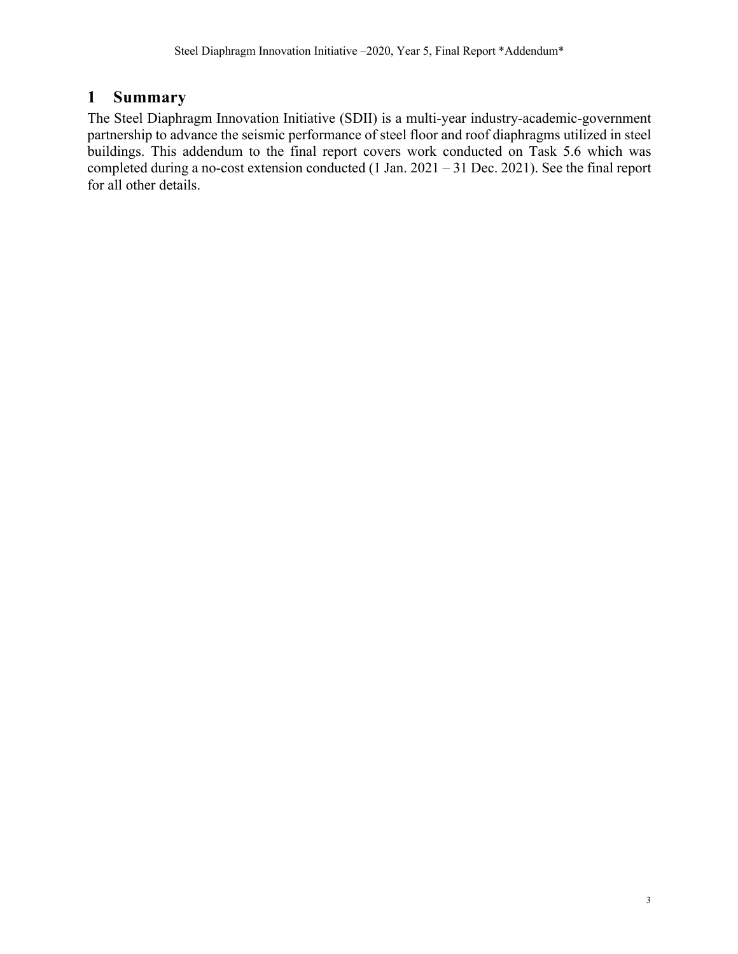### **1 Summary**

The Steel Diaphragm Innovation Initiative (SDII) is a multi-year industry-academic-government partnership to advance the seismic performance of steel floor and roof diaphragms utilized in steel buildings. This addendum to the final report covers work conducted on Task 5.6 which was completed during a no-cost extension conducted (1 Jan. 2021 – 31 Dec. 2021). See the final report for all other details.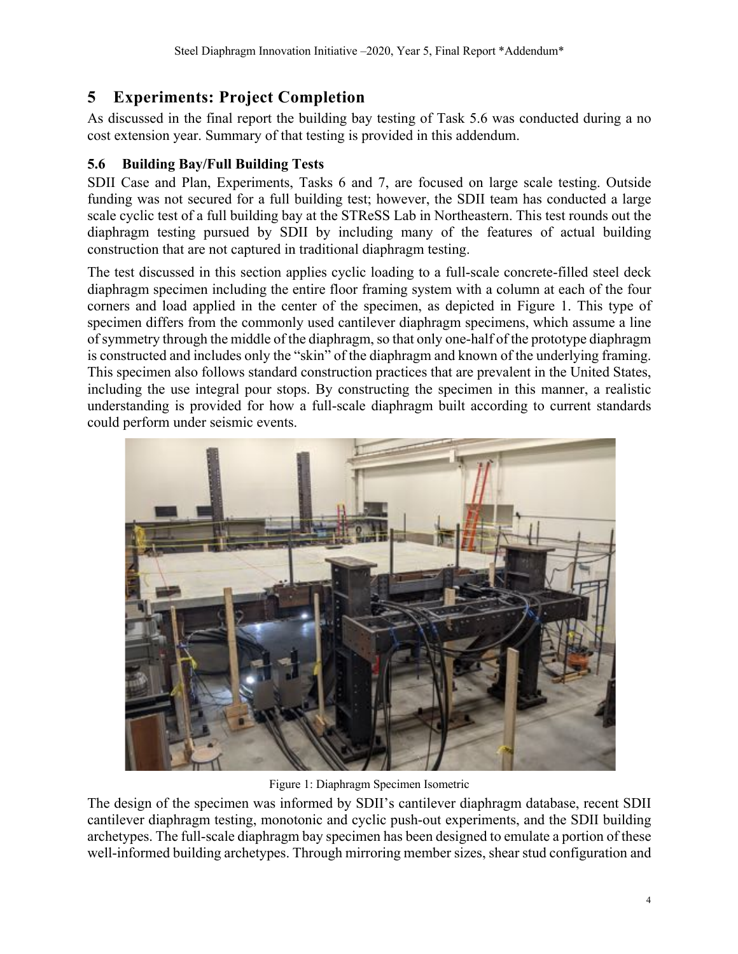### **5 Experiments: Project Completion**

As discussed in the final report the building bay testing of Task 5.6 was conducted during a no cost extension year. Summary of that testing is provided in this addendum.

### **5.6 Building Bay/Full Building Tests**

SDII Case and Plan, Experiments, Tasks 6 and 7, are focused on large scale testing. Outside funding was not secured for a full building test; however, the SDII team has conducted a large scale cyclic test of a full building bay at the STReSS Lab in Northeastern. This test rounds out the diaphragm testing pursued by SDII by including many of the features of actual building construction that are not captured in traditional diaphragm testing.

The test discussed in this section applies cyclic loading to a full-scale concrete-filled steel deck diaphragm specimen including the entire floor framing system with a column at each of the four corners and load applied in the center of the specimen, as depicted in Figure 1. This type of specimen differs from the commonly used cantilever diaphragm specimens, which assume a line of symmetry through the middle of the diaphragm, so that only one-half of the prototype diaphragm is constructed and includes only the "skin" of the diaphragm and known of the underlying framing. This specimen also follows standard construction practices that are prevalent in the United States, including the use integral pour stops. By constructing the specimen in this manner, a realistic understanding is provided for how a full-scale diaphragm built according to current standards could perform under seismic events.



Figure 1: Diaphragm Specimen Isometric

The design of the specimen was informed by SDII's cantilever diaphragm database, recent SDII cantilever diaphragm testing, monotonic and cyclic push-out experiments, and the SDII building archetypes. The full-scale diaphragm bay specimen has been designed to emulate a portion of these well-informed building archetypes. Through mirroring member sizes, shear stud configuration and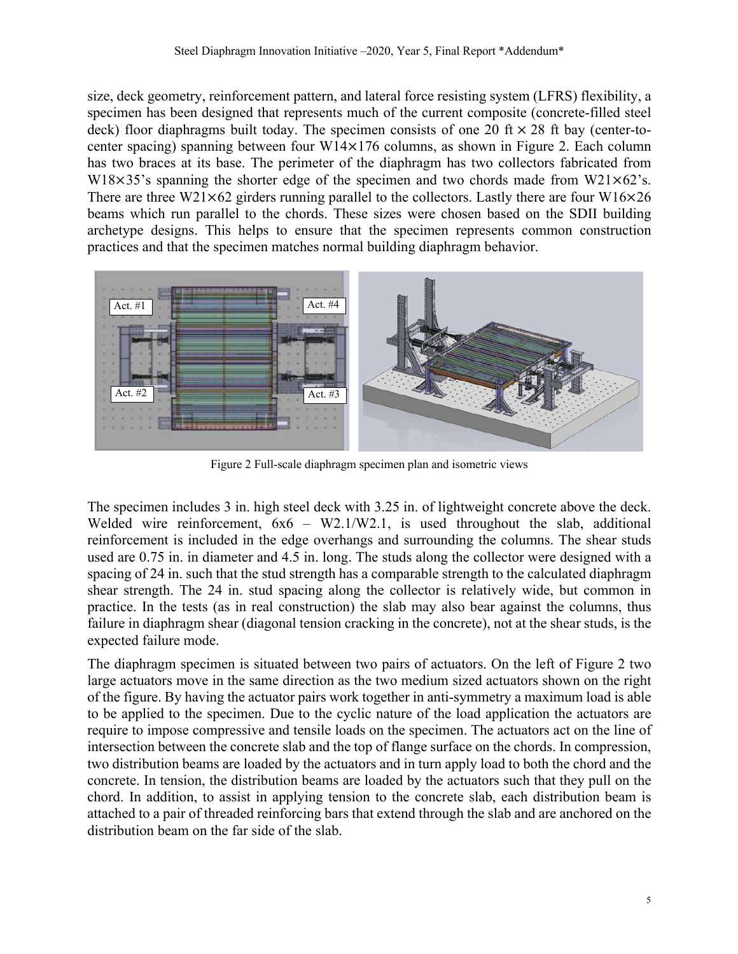size, deck geometry, reinforcement pattern, and lateral force resisting system (LFRS) flexibility, a specimen has been designed that represents much of the current composite (concrete-filled steel deck) floor diaphragms built today. The specimen consists of one 20 ft  $\times$  28 ft bay (center-tocenter spacing) spanning between four W14×176 columns, as shown in Figure 2. Each column has two braces at its base. The perimeter of the diaphragm has two collectors fabricated from W18 $\times$ 35's spanning the shorter edge of the specimen and two chords made from W21 $\times$ 62's. There are three W21 $\times$ 62 girders running parallel to the collectors. Lastly there are four W16 $\times$ 26 beams which run parallel to the chords. These sizes were chosen based on the SDII building archetype designs. This helps to ensure that the specimen represents common construction practices and that the specimen matches normal building diaphragm behavior.



Figure 2 Full-scale diaphragm specimen plan and isometric views

The specimen includes 3 in. high steel deck with 3.25 in. of lightweight concrete above the deck. Welded wire reinforcement,  $6x6 - W2.1/W2.1$ , is used throughout the slab, additional reinforcement is included in the edge overhangs and surrounding the columns. The shear studs used are 0.75 in. in diameter and 4.5 in. long. The studs along the collector were designed with a spacing of 24 in. such that the stud strength has a comparable strength to the calculated diaphragm shear strength. The 24 in. stud spacing along the collector is relatively wide, but common in practice. In the tests (as in real construction) the slab may also bear against the columns, thus failure in diaphragm shear (diagonal tension cracking in the concrete), not at the shear studs, is the expected failure mode.

The diaphragm specimen is situated between two pairs of actuators. On the left of Figure 2 two large actuators move in the same direction as the two medium sized actuators shown on the right of the figure. By having the actuator pairs work together in anti-symmetry a maximum load is able to be applied to the specimen. Due to the cyclic nature of the load application the actuators are require to impose compressive and tensile loads on the specimen. The actuators act on the line of intersection between the concrete slab and the top of flange surface on the chords. In compression, two distribution beams are loaded by the actuators and in turn apply load to both the chord and the concrete. In tension, the distribution beams are loaded by the actuators such that they pull on the chord. In addition, to assist in applying tension to the concrete slab, each distribution beam is attached to a pair of threaded reinforcing bars that extend through the slab and are anchored on the distribution beam on the far side of the slab.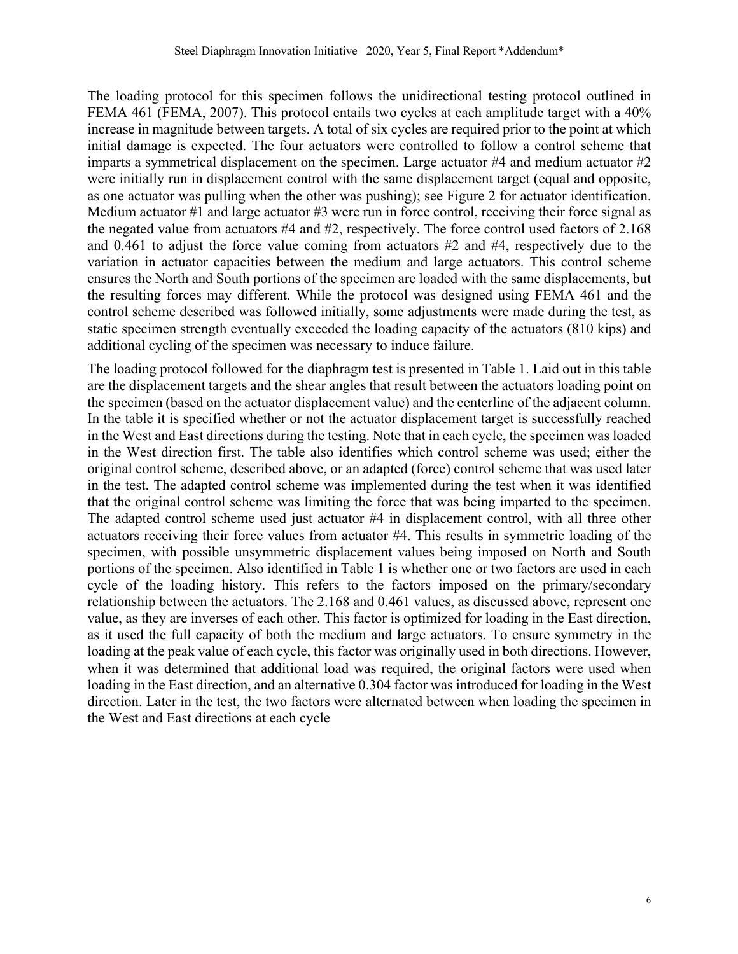The loading protocol for this specimen follows the unidirectional testing protocol outlined in FEMA 461 (FEMA, 2007). This protocol entails two cycles at each amplitude target with a 40% increase in magnitude between targets. A total of six cycles are required prior to the point at which initial damage is expected. The four actuators were controlled to follow a control scheme that imparts a symmetrical displacement on the specimen. Large actuator #4 and medium actuator #2 were initially run in displacement control with the same displacement target (equal and opposite, as one actuator was pulling when the other was pushing); see Figure 2 for actuator identification. Medium actuator #1 and large actuator #3 were run in force control, receiving their force signal as the negated value from actuators #4 and #2, respectively. The force control used factors of 2.168 and 0.461 to adjust the force value coming from actuators #2 and #4, respectively due to the variation in actuator capacities between the medium and large actuators. This control scheme ensures the North and South portions of the specimen are loaded with the same displacements, but the resulting forces may different. While the protocol was designed using FEMA 461 and the control scheme described was followed initially, some adjustments were made during the test, as static specimen strength eventually exceeded the loading capacity of the actuators (810 kips) and additional cycling of the specimen was necessary to induce failure.

The loading protocol followed for the diaphragm test is presented in Table 1. Laid out in this table are the displacement targets and the shear angles that result between the actuators loading point on the specimen (based on the actuator displacement value) and the centerline of the adjacent column. In the table it is specified whether or not the actuator displacement target is successfully reached in the West and East directions during the testing. Note that in each cycle, the specimen was loaded in the West direction first. The table also identifies which control scheme was used; either the original control scheme, described above, or an adapted (force) control scheme that was used later in the test. The adapted control scheme was implemented during the test when it was identified that the original control scheme was limiting the force that was being imparted to the specimen. The adapted control scheme used just actuator #4 in displacement control, with all three other actuators receiving their force values from actuator #4. This results in symmetric loading of the specimen, with possible unsymmetric displacement values being imposed on North and South portions of the specimen. Also identified in Table 1 is whether one or two factors are used in each cycle of the loading history. This refers to the factors imposed on the primary/secondary relationship between the actuators. The 2.168 and 0.461 values, as discussed above, represent one value, as they are inverses of each other. This factor is optimized for loading in the East direction, as it used the full capacity of both the medium and large actuators. To ensure symmetry in the loading at the peak value of each cycle, this factor was originally used in both directions. However, when it was determined that additional load was required, the original factors were used when loading in the East direction, and an alternative 0.304 factor was introduced for loading in the West direction. Later in the test, the two factors were alternated between when loading the specimen in the West and East directions at each cycle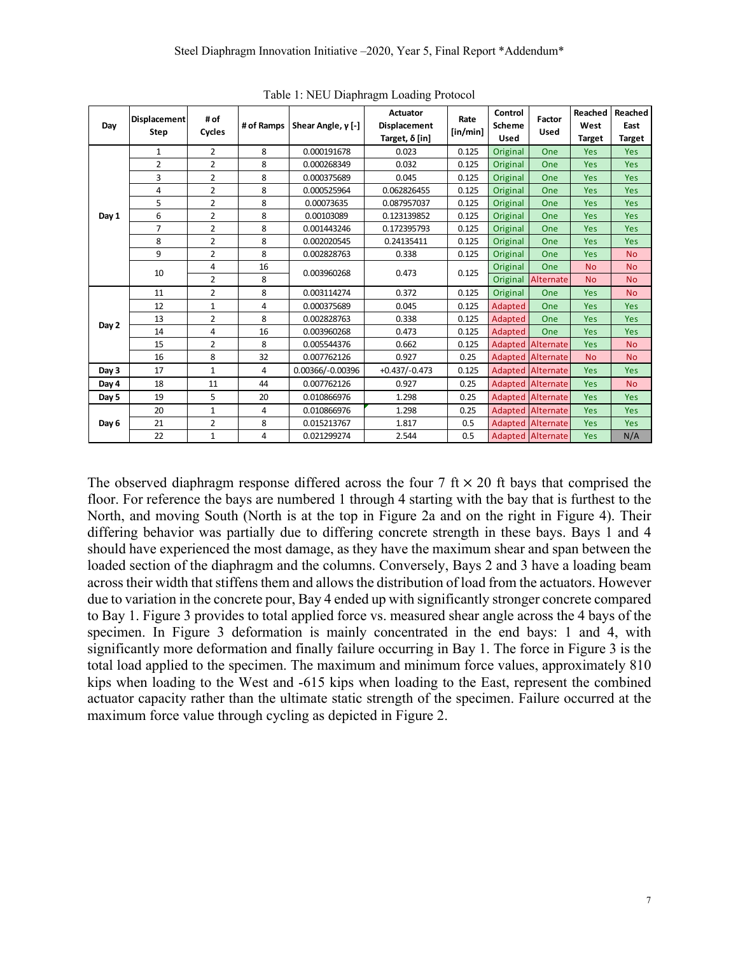| Day   | <b>Displacement</b><br><b>Step</b> | # of<br>Cycles | # of Ramps | Shear Angle, $y$ [-] | <b>Actuator</b><br>Displacement<br>Target, $\delta$ [in] | Rate<br>[in/min] | Control<br><b>Scheme</b><br><b>Used</b> | Factor<br><b>Used</b>    | Reached<br>West<br><b>Target</b> | Reached<br>East<br><b>Target</b> |
|-------|------------------------------------|----------------|------------|----------------------|----------------------------------------------------------|------------------|-----------------------------------------|--------------------------|----------------------------------|----------------------------------|
| Day 1 | $\mathbf{1}$                       | $\overline{2}$ | 8          | 0.000191678          | 0.023                                                    | 0.125            | Original                                | One                      | Yes                              | Yes                              |
|       | $\overline{2}$                     | $\overline{2}$ | 8          | 0.000268349          | 0.032                                                    | 0.125            | Original                                | One                      | <b>Yes</b>                       | <b>Yes</b>                       |
|       | 3                                  | $\overline{2}$ | 8          | 0.000375689          | 0.045                                                    | 0.125            | Original                                | One                      | <b>Yes</b>                       | Yes                              |
|       | 4                                  | $\overline{2}$ | 8          | 0.000525964          | 0.062826455                                              | 0.125            | Original                                | One                      | Yes                              | Yes                              |
|       | 5                                  | $\overline{2}$ | 8          | 0.00073635           | 0.087957037                                              | 0.125            | Original                                | One                      | <b>Yes</b>                       | Yes                              |
|       | 6                                  | $\overline{2}$ | 8          | 0.00103089           | 0.123139852                                              | 0.125            | Original                                | One                      | <b>Yes</b>                       | Yes                              |
|       | $\overline{7}$                     | $\overline{2}$ | 8          | 0.001443246          | 0.172395793                                              | 0.125            | Original                                | One                      | Yes                              | Yes                              |
|       | 8                                  | $\overline{2}$ | 8          | 0.002020545          | 0.24135411                                               | 0.125            | Original                                | One                      | <b>Yes</b>                       | Yes                              |
|       | 9                                  | $\overline{2}$ | 8          | 0.002828763          | 0.338                                                    | 0.125            | Original                                | One                      | Yes                              | <b>No</b>                        |
|       | 10                                 | 4              | 16         | 0.003960268          | 0.473                                                    | 0.125            | Original                                | One                      | <b>No</b>                        | <b>No</b>                        |
|       |                                    | $\overline{2}$ | 8          |                      |                                                          |                  | Original                                | Alternate                | <b>No</b>                        | <b>No</b>                        |
| Day 2 | 11                                 | $\overline{2}$ | 8          | 0.003114274          | 0.372                                                    | 0.125            | Original                                | One                      | Yes                              | <b>No</b>                        |
|       | 12                                 | $\mathbf{1}$   | 4          | 0.000375689          | 0.045                                                    | 0.125            | Adapted                                 | One                      | <b>Yes</b>                       | Yes                              |
|       | 13                                 | $\overline{2}$ | 8          | 0.002828763          | 0.338                                                    | 0.125            | Adapted                                 | One                      | <b>Yes</b>                       | Yes                              |
|       | 14                                 | 4              | 16         | 0.003960268          | 0.473                                                    | 0.125            | Adapted                                 | One                      | Yes                              | Yes                              |
|       | 15                                 | $\overline{2}$ | 8          | 0.005544376          | 0.662                                                    | 0.125            |                                         | <b>Adapted Alternate</b> | <b>Yes</b>                       | <b>No</b>                        |
|       | 16                                 | 8              | 32         | 0.007762126          | 0.927                                                    | 0.25             |                                         | <b>Adapted Alternate</b> | <b>No</b>                        | <b>No</b>                        |
| Day 3 | 17                                 | $\mathbf{1}$   | 4          | 0.00366/-0.00396     | $+0.437/-0.473$                                          | 0.125            |                                         | <b>Adapted Alternate</b> | Yes                              | Yes                              |
| Day 4 | 18                                 | 11             | 44         | 0.007762126          | 0.927                                                    | 0.25             |                                         | <b>Adapted Alternate</b> | <b>Yes</b>                       | <b>No</b>                        |
| Day 5 | 19                                 | 5              | 20         | 0.010866976          | 1.298                                                    | 0.25             |                                         | <b>Adapted Alternate</b> | <b>Yes</b>                       | Yes                              |
| Day 6 | 20                                 | $\mathbf{1}$   | 4          | 0.010866976          | 1.298                                                    | 0.25             |                                         | Adapted Alternate        | <b>Yes</b>                       | Yes                              |
|       | 21                                 | $\overline{2}$ | 8          | 0.015213767          | 1.817                                                    | 0.5              |                                         | <b>Adapted Alternate</b> | <b>Yes</b>                       | Yes                              |
|       | 22                                 | $\mathbf{1}$   | 4          | 0.021299274          | 2.544                                                    | 0.5              |                                         | <b>Adapted Alternate</b> | <b>Yes</b>                       | N/A                              |

Table 1: NEU Diaphragm Loading Protocol

The observed diaphragm response differed across the four  $7 \text{ ft} \times 20 \text{ ft}$  bays that comprised the floor. For reference the bays are numbered 1 through 4 starting with the bay that is furthest to the North, and moving South (North is at the top in Figure 2a and on the right in Figure 4). Their differing behavior was partially due to differing concrete strength in these bays. Bays 1 and 4 should have experienced the most damage, as they have the maximum shear and span between the loaded section of the diaphragm and the columns. Conversely, Bays 2 and 3 have a loading beam across their width that stiffens them and allows the distribution of load from the actuators. However due to variation in the concrete pour, Bay 4 ended up with significantly stronger concrete compared to Bay 1. Figure 3 provides to total applied force vs. measured shear angle across the 4 bays of the specimen. In Figure 3 deformation is mainly concentrated in the end bays: 1 and 4, with significantly more deformation and finally failure occurring in Bay 1. The force in Figure 3 is the total load applied to the specimen. The maximum and minimum force values, approximately 810 kips when loading to the West and -615 kips when loading to the East, represent the combined actuator capacity rather than the ultimate static strength of the specimen. Failure occurred at the maximum force value through cycling as depicted in Figure 2.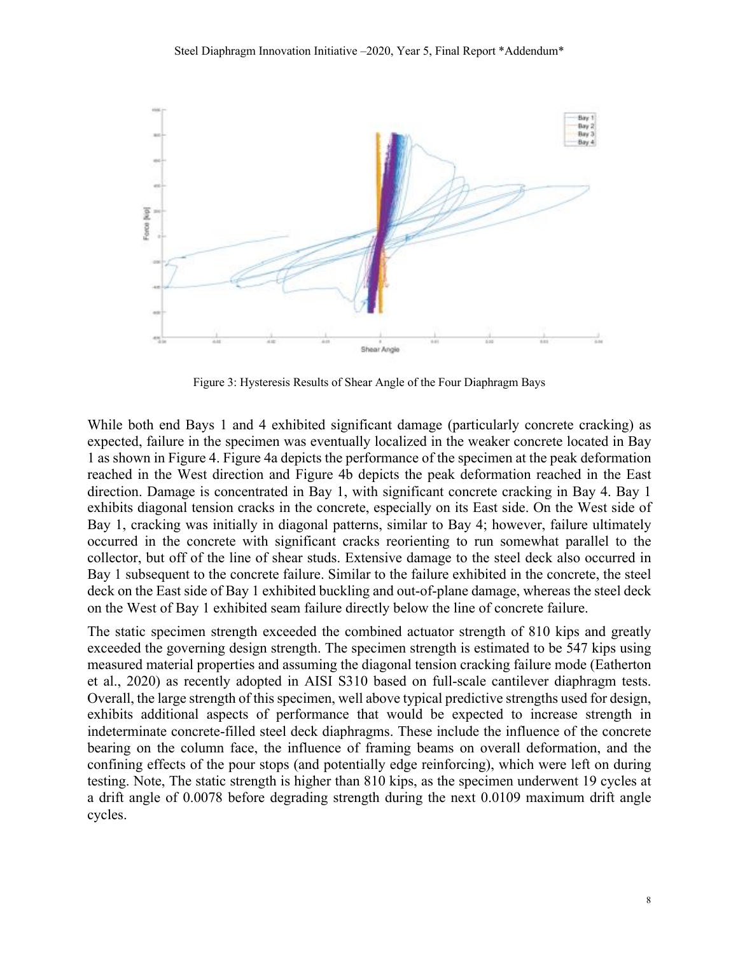

Figure 3: Hysteresis Results of Shear Angle of the Four Diaphragm Bays

While both end Bays 1 and 4 exhibited significant damage (particularly concrete cracking) as expected, failure in the specimen was eventually localized in the weaker concrete located in Bay 1 as shown in Figure 4. Figure 4a depicts the performance of the specimen at the peak deformation reached in the West direction and Figure 4b depicts the peak deformation reached in the East direction. Damage is concentrated in Bay 1, with significant concrete cracking in Bay 4. Bay 1 exhibits diagonal tension cracks in the concrete, especially on its East side. On the West side of Bay 1, cracking was initially in diagonal patterns, similar to Bay 4; however, failure ultimately occurred in the concrete with significant cracks reorienting to run somewhat parallel to the collector, but off of the line of shear studs. Extensive damage to the steel deck also occurred in Bay 1 subsequent to the concrete failure. Similar to the failure exhibited in the concrete, the steel deck on the East side of Bay 1 exhibited buckling and out-of-plane damage, whereas the steel deck on the West of Bay 1 exhibited seam failure directly below the line of concrete failure.

The static specimen strength exceeded the combined actuator strength of 810 kips and greatly exceeded the governing design strength. The specimen strength is estimated to be 547 kips using measured material properties and assuming the diagonal tension cracking failure mode (Eatherton et al., 2020) as recently adopted in AISI S310 based on full-scale cantilever diaphragm tests. Overall, the large strength of this specimen, well above typical predictive strengths used for design, exhibits additional aspects of performance that would be expected to increase strength in indeterminate concrete-filled steel deck diaphragms. These include the influence of the concrete bearing on the column face, the influence of framing beams on overall deformation, and the confining effects of the pour stops (and potentially edge reinforcing), which were left on during testing. Note, The static strength is higher than 810 kips, as the specimen underwent 19 cycles at a drift angle of 0.0078 before degrading strength during the next 0.0109 maximum drift angle cycles.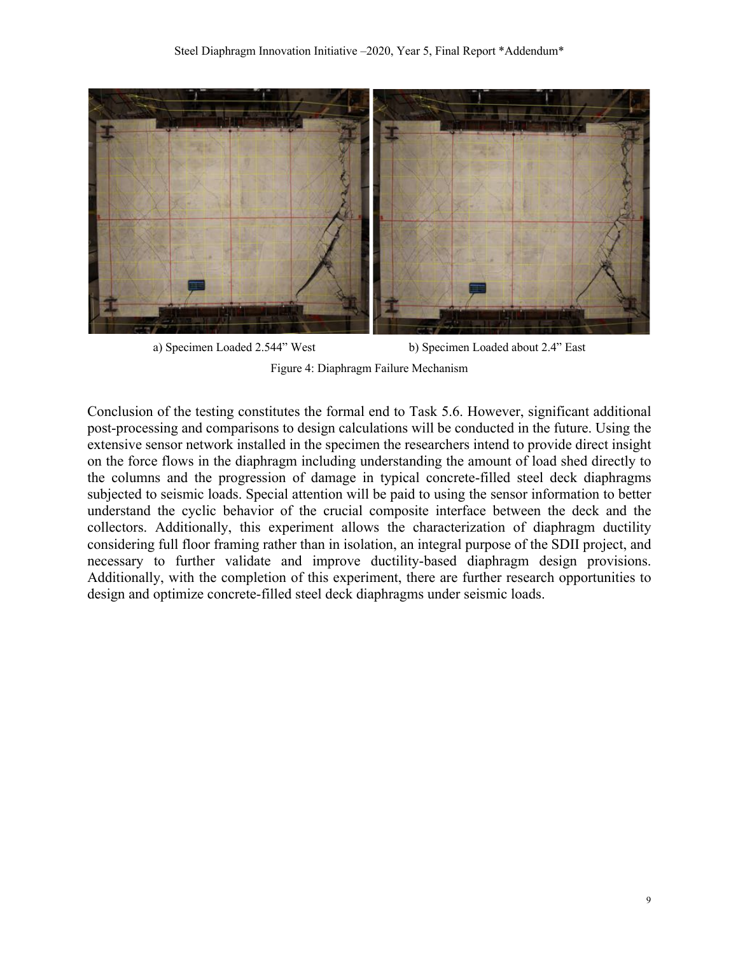

```
a) Specimen Loaded 2.544" West b) Specimen Loaded about 2.4" East
       Figure 4: Diaphragm Failure Mechanism
```
Conclusion of the testing constitutes the formal end to Task 5.6. However, significant additional post-processing and comparisons to design calculations will be conducted in the future. Using the extensive sensor network installed in the specimen the researchers intend to provide direct insight on the force flows in the diaphragm including understanding the amount of load shed directly to the columns and the progression of damage in typical concrete-filled steel deck diaphragms subjected to seismic loads. Special attention will be paid to using the sensor information to better understand the cyclic behavior of the crucial composite interface between the deck and the collectors. Additionally, this experiment allows the characterization of diaphragm ductility considering full floor framing rather than in isolation, an integral purpose of the SDII project, and necessary to further validate and improve ductility-based diaphragm design provisions. Additionally, with the completion of this experiment, there are further research opportunities to design and optimize concrete-filled steel deck diaphragms under seismic loads.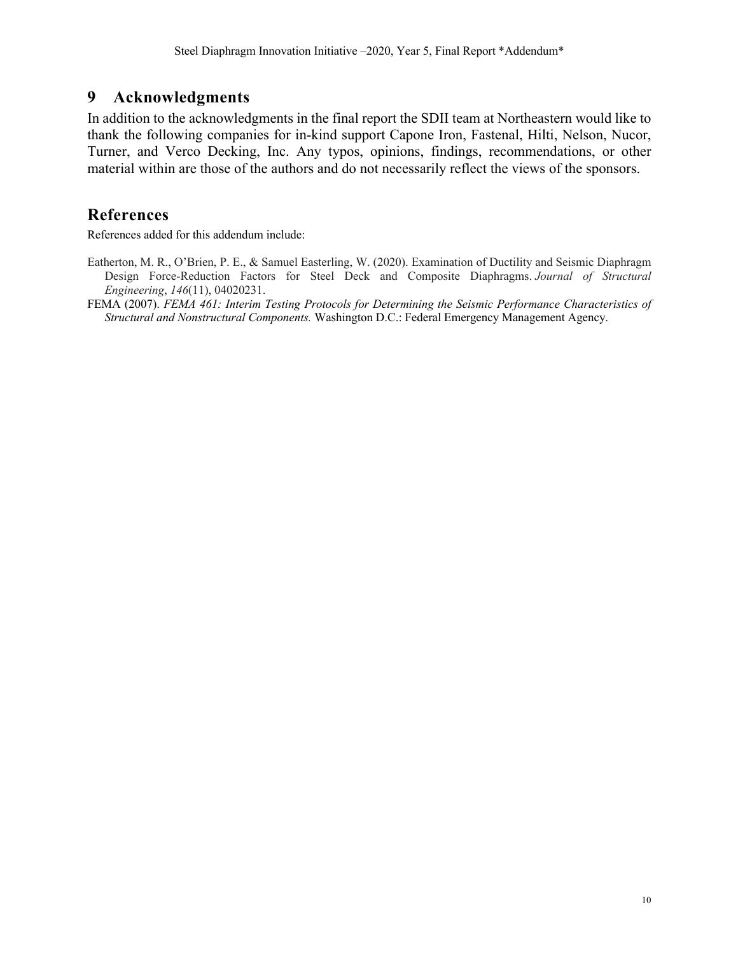### **9 Acknowledgments**

In addition to the acknowledgments in the final report the SDII team at Northeastern would like to thank the following companies for in-kind support Capone Iron, Fastenal, Hilti, Nelson, Nucor, Turner, and Verco Decking, Inc. Any typos, opinions, findings, recommendations, or other material within are those of the authors and do not necessarily reflect the views of the sponsors.

### **References**

References added for this addendum include:

- Eatherton, M. R., O'Brien, P. E., & Samuel Easterling, W. (2020). Examination of Ductility and Seismic Diaphragm Design Force-Reduction Factors for Steel Deck and Composite Diaphragms. *Journal of Structural Engineering*, *146*(11), 04020231.
- FEMA (2007). *FEMA 461: Interim Testing Protocols for Determining the Seismic Performance Characteristics of Structural and Nonstructural Components.* Washington D.C.: Federal Emergency Management Agency.